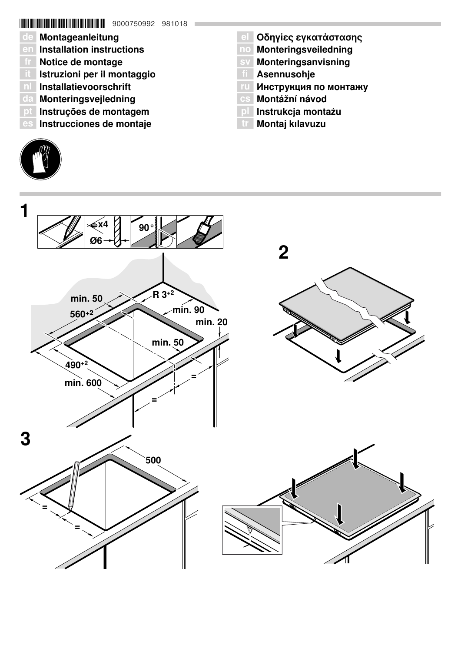# **\* THE THE THE THE THE THE THE THE SOO0750992 981018**

- de Montageanleitung
- en Installation instructions
- fr Notice de montage
- â Istruzioni per il montaggio
- n Installatievoorschrift
- da Monteringsvejledning
- pt Instruções de montagem
- es Instrucciones de montaje
- **el Οδηγίες εγκατάστασης**
- no Monteringsveiledning
- sv Monteringsanvisning
- **TI** Asennusohje
- Инструкция по монтажу
- Montážní návod
- pl Instrukcja montażu
- tr Montaj kılavuzu



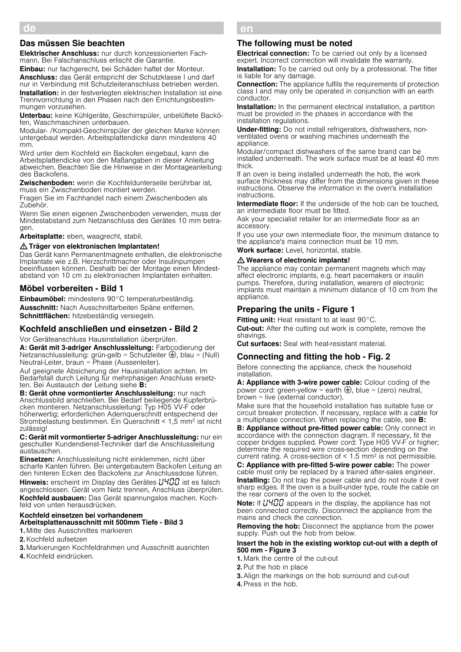## Das müssen Sie beachten

Elektrischer Anschluss: nur durch konzessionierten Fachmann. Bei Falschanschluss erlischt die Garantie.

Einbau: nur fachgerecht, bei Schäden haftet der Monteur.

Anschluss: das Gerät entspricht der Schutzklasse I und darf nur in Verbindung mit Schutzleiteranschluss betrieben werden. Installation: in der festverlegten elektrischen Installation ist eine Trennvorrichtung in den Phasen nach den Errichtungsbestim-

mungen vorzusehen. Unterbau: keine Kühlgeräte, Geschirrspüler, unbelüftete Backö-

fen, Waschmaschinen unterbauen.

Modular- /Kompakt-Geschirrspüler der gleichen Marke können untergebaut werden. Arbeitsplattendicke dann mindestens 40 mm.

Wird unter dem Kochfeld ein Backofen eingebaut, kann die Arbeitsplattendicke von den Maßangaben in dieser Anleitung abweichen. Beachten Sie die Hinweise in der Montageanleitung des Backofens.

Zwischenboden: wenn die Kochfeldunterseite berührbar ist, muss ein Zwischenboden montiert werden.

Fragen Sie im Fachhandel nach einem Zwischenboden als Zubehör.

Wenn Sie einen eigenen Zwischenboden verwenden, muss der Mindestabstand zum Netzanschluss des Gerätes 10 mm betragen.

Arbeitsplatte: eben, waagrecht, stabil.

#### : Träger von elektronischen Implantaten!

Das Gerät kann Permanentmagnete enthalten, die elektronische Implantate wie z.B. Herzschrittmacher oder Insulinpumpen beeinflussen können. Deshalb bei der Montage einen Mindestabstand von 10 cm zu elektronischen Implantaten einhalten.

## Möbel vorbereiten - Bild 1

Einbaumöbel: mindestens 90°C temperaturbeständig. Ausschnitt: Nach Ausschnittarbeiten Späne entfernen. Schnittflächen: hitzebeständig versiegeln.

#### Kochfeld anschließen und einsetzen - Bild 2

Vor Geräteanschluss Hausinstallation überprüfen.

A: Gerät mit 3-adriger Anschlussleitung: Farbcodierung der Netzanschlussleitung: grün-gelb = Schutzleiter  $\bigoplus$ , blau = (Null) Neutral-Leiter, braun = Phase (Aussenleiter).

Auf geeignete Absicherung der Hausinatallation achten. Im Bedarfsfall durch Leitung für mehrphasigen Anschluss ersetzten. Bei Austausch der Leitung siehe B:

B: Gerät ohne vormontierter Anschlussleitung: nur nach Anschlussbild anschließen. Bei Bedarf beiliegende Kupferbrücken montieren. Netzanschlussleitung: Typ H05 VV-F oder höherwertig; erforderlichen Adernquerschnitt entspechend der Strombelastung bestimmen. Ein Querschnitt < 1,5 mm2 ist nicht zulässig!

C: Gerät mit vormontierter 5-adriger Anschlussleitung: nur ein geschulter Kundendienst-Techniker darf die Anschlussleitung austauschen.

Einsetzen: Anschlussleitung nicht einklemmen, nicht über scharfe Kanten führen. Bei untergebautem Backofen Leitung an den hinteren Ecken des Backofens zur Anschlussdose führen. Hinweis: erscheint im Display des Gerätes  $\mu$ 400 ist es falsch angeschlossen. Gerät vom Netz trennen, Anschluss überprüfen. Kochfeld ausbauen: Das Gerät spannungslos machen. Kochfeld von unten herausdrücken.

#### Kochfeld einsetzen bei vorhandenem Arbeitsplattenausschnitt mit 500mm Tiefe - Bild 3

1. Mitte des Ausschnittes markieren

2.Kochfeld aufsetzen

3. Markierungen Kochfeldrahmen und Ausschnitt ausrichten

4.Kochfeld eindrücken.

# en **en andere kommen**

#### The following must be noted

**Electrical connection:** To be carried out only by a licensed expert. Incorrect connection will invalidate the warranty.

**Installation:** To be carried out only by a professional. The fitter is liable for any damage.

Connection: The appliance fulfils the requirements of protection class I and may only be operated in conjunction with an earth conductor.

**Installation:** In the permanent electrical installation, a partition must be provided in the phases in accordance with the installation regulations.

Under-fitting: Do not install refrigerators, dishwashers, nonventilated ovens or washing machines underneath the appliance.

Modular/compact dishwashers of the same brand can be installed underneath. The work surface must be at least 40 mm thick.

If an oven is being installed underneath the hob, the work surface thickness may differ from the dimensions given in these instructions. Observe the information in the oven's installation instructions.

Intermediate floor: If the underside of the hob can be touched, an intermediate floor must be fitted.

Ask your specialist retailer for an intermediate floor as an accessory.

If you use your own intermediate floor, the minimum distance to the appliance's mains connection must be 10 mm.

Work surface: Level, horizontal, stable.

#### : Wearers of electronic implants!

The appliance may contain permanent magnets which may affect electronic implants, e.g. heart pacemakers or insulin pumps. Therefore, during installation, wearers of electronic implants must maintain a minimum distance of 10 cm from the appliance.

## Preparing the units - Figure 1

Fitting unit: Heat resistant to at least 90°C.

Cut-out: After the cutting out work is complete, remove the shavings.

**Cut surfaces:** Seal with heat-resistant material.

## Connecting and fitting the hob - Fig. 2

Before connecting the appliance, check the household installation.

A: Appliance with 3-wire power cable: Colour coding of the power cord: green-yellow = earth  $\bigoplus$ , blue = (zero) neutral, brown = live (external conductor).

Make sure that the household installation has suitable fuse or circuit breaker protection. If necessary, replace with a cable for a multiphase connection. When replacing the cable, see B:

B: Appliance without pre-fitted power cable: Only connect in accordance with the connection diagram. If necessary, fit the copper bridges supplied. Power cord: Type H05 VV-F or higher; determine the required wire cross-section depending on the current rating. A cross-section of  $\leq 1.5$  mm<sup>2</sup> is not permissible.

C: Appliance with pre-fitted 5-wire power cable: The power cable must only be replaced by a trained after-sales engineer. **Installing:** Do not trap the power cable and do not route it over sharp edges. If the oven is a built-under type, route the cable on the rear corners of the oven to the socket.

Note: If HHHH appears in the display, the appliance has not been connected correctly. Disconnect the appliance from the mains and check the connection.

Removing the hob: Disconnect the appliance from the power supply. Push out the hob from below.

#### Insert the hob in the existing worktop cut-out with a depth of 500 mm - Figure 3

1. Mark the centre of the cut-out

2.Put the hob in place

3.Align the markings on the hob surround and cut-out 4.Press in the hob.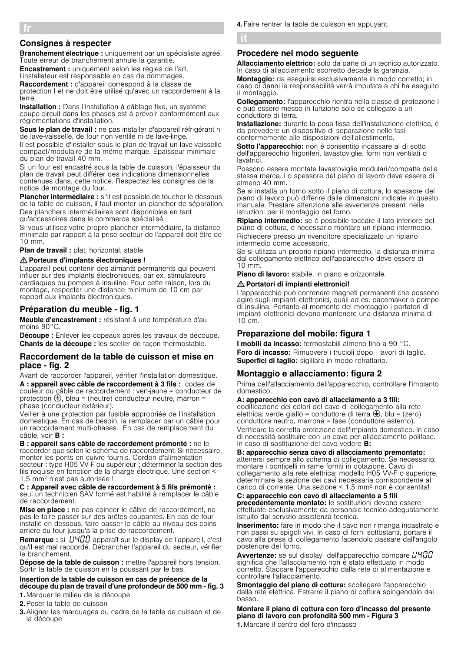# Consignes à respecter

Branchement électrique : uniquement par un spécialiste agréé. Toute erreur de branchement annule la garantie.

Encastrement : uniquement selon les règles de l'art, l'installateur est responsable en cas de dommages. Raccordement : d'appareil correspond à la classe de

protection I et ne doit être utilisé qu'avec un raccordement à la terre.

Installation : Dans l'installation à câblage fixe, un système coupe-circuit dans les phases est à prévoir conformément aux réglementations d'installation.

Sous le plan de travail : ne pas installer d'appareil réfrigérant ni de lave-vaisselle, de four non ventilé ni de lave-linge.

Il est possible d'installer sous le plan de travail un lave-vaisselle compact/modulaire de la même marque. Épaisseur minimale du plan de travail 40 mm.

Si un four est encastré sous la table de cuisson, l'épaisseur du plan de travail peut différer des indications dimensionnelles contenues dans. cette notice. Respectez les consignes de la notice de montage du four.

Plancher intermédiaire : si'il est possible de toucher le dessous de la table de cuisson, il faut monter un plancher de séparation. Des planchers intermédiaires sont disponibles en tant

qu'accessoires dans le commerce spécialisé.

Si vous utilisez votre propre plancher intermédiaire, la distance minimale par rapport à la prise secteur de l'appareil doit être de 10 mm.

Plan de travail : plat, horizontal, stable.

#### : Porteurs d'implants électroniques !

L'appareil peut contenir des aimants permanents qui peuvent influer sur des implants électroniques, par ex. stimulateurs cardiaques ou pompes à insuline. Pour cette raison, lors du montage, respecter une distance minimum de 10 cm par rapport aux implants électroniques.

# Préparation du meuble - fig. 1

Meuble d'encastrement : résistant à une température d'au moins 90°C.

Découpe : Enlever les copeaux après les travaux de découpe. Chants de la découpe : les sceller de façon thermostable.

#### Raccordement de la table de cuisson et mise en place - fig. 2

Avant de raccorder l'appareil, vérifier l'installation domestique. A : appareil avec câble de raccordement à 3 fils : codes de couleur du câble de raccordement : vert-jaune = conducteur de protection  $\bigoplus$ , bleu = (neutre) conducteur neutre, marron = phase (conducteur extérieur).

Veiller à une protection par fusible appropriée de l'installation domestique. En cas de besoin, la remplacer par un câble pour un raccordement multi-phases. En cas de remplacement du câble, voir **B** :

B : appareil sans câble de raccordement prémonté : ne le raccorder que selon le schéma de raccordement. Si nécessaire, monter les ponts en cuivre fournis. Cordon d'alimentation secteur : type H05 VV-F ou supérieur ; déterminer la section des fils requise en fonction de la charge électrique. Une section < 1,5 mm2 n'est pas autorisée !

#### C : Appareil avec câble de raccordement à 5 fils prémonté : seul un technicien SAV formé est habilité à remplacer le câble de raccordement.

Mise en place : ne pas coincer le câble de raccordement, ne pas le faire passer sur des arêtes coupantes. En cas de four installé en dessous, faire passer le câble au niveau des coins arrière du four jusqu'à la prise de raccordement.

Remarque : si *L'HDD* apparaît sur le display de l'appareil, c'est qu'il est mal raccordé. Débrancher l'appareil du secteur, vérifier le branchement.

Dépose de la table de cuisson : mettre l'appareil hors tension. Sortir la table de cuisson en la poussant par le bas.

## Insertion de la table de cuisson en cas de présence de la découpe du plan de travail d'une profondeur de 500 mm - fig. 3

1. Marquer le milieu de la découpe

2.Poser la table de cuisson

3.Aligner les marquages du cadre de la table de cuisson et de la découpe

## Procedere nel modo seguente

Allacciamento elettrico: solo da parte di un tecnico autorizzato. In caso di allacciamento scorretto decade la garanzia.

Montaggio: da eseguirsi esclusivamente in modo corretto; in caso di danni la responsabilità verrà imputata a chi ha eseguito il montaggio.

Collegamento: l'apparecchio rientra nella classe di protezione I e può essere messo in funzione solo se collegato a un conduttore di terra.

Installazione: durante la posa fissa dell'installazione elettrica, è da prevedere un dispositivo di separazione nelle fasi conformemente alle disposizioni dell'allestimento.

Sotto l'apparecchio: non è consentito incassare al di sotto dell'apparecchio frigoriferi, lavastoviglie, forni non ventilati o lavatrici.

Possono essere montate lavastoviglie modulari/compatte della stessa marca. Lo spessore del piano di lavoro deve essere di almeno 40 mm.

Se si installa un forno sotto il piano di cottura, lo spessore del piano di lavoro può differire dalle dimensioni indicate in questo manuale. Prestare attenzione alle avvertenze presenti nelle istruzioni per il montaggio del forno.

Ripiano intermedio: se è possibile toccare il lato inferiore del piano di cottura, è necessario montare un ripiano intermedio. Richiedere presso un rivenditore specializzato un ripiano intermedio come accessorio.

Se si utilizza un proprio ripiano intermedio, la distanza minima dal collegamento elettrico dell'apparecchio deve essere di 10 mm.

Piano di lavoro: stabile, in piano e orizzontale.

#### : Portatori di impianti elettronici!

L'apparecchio può contenere magneti permanenti che possono agire sugli impianti elettronici, quali ad es. pacemaker o pompe di insulina. Pertanto al momento del montaggio i portatori di impianti elettronici devono mantenere una distanza minima di 10 cm.

# Preparazione del mobile: figura 1

I mobili da incasso: termostabili almeno fino a 90 °C. Foro di incasso: Rimuovere i trucioli dopo i lavori di taglio. Superfici di taglio: sigillare in modo refrattario.

# Montaggio e allacciamento: figura 2

Prima dell'allacciamento dell'apparecchio, controllare l'impianto domestico.

#### A: apparecchio con cavo di allacciamento a 3 fili:

codificazione dei colori del cavo di collegamento alla rete elettrica: verde giallo = conduttore di terra  $\bigoplus$ , blu = (zero) conduttore neutro, marrone = fase (conduttore esterno). Verificare la corretta protezione dell'impianto domestico. In caso di necessità sostituire con un cavo per allacciamento polifase. In caso di sostituzione del cavo vedere B:

B: apparecchio senza cavo di allacciamento premontato: attenersi sempre allo schema di collegamento. Se necessario, montare i ponticelli in rame forniti in dotazione. Cavo di collegamento alla rete elettrica: modello H05 VV-F o superiore, determinare la sezione dei cavi necessaria corrispondente al

#### carico di corrente. Una sezione < 1,5 mm2 non è consentita! C: apparecchio con cavo di allacciamento a 5 fili

precedentemente montato: le sostituzioni devono essere effettuate esclusivamente da personale tecnico adeguatamente istruito dal servizio assistenza tecnica.

Inserimento: fare in modo che il cavo non rimanga incastrato e non passi su spigoli vivi. In caso di forni sottostanti, portare il cavo alla presa di collegamento facendolo passare dall'angolo posteriore del forno.

Avvertenze: se sul display dell'apparecchio compare L'HOO significa che l'allacciamento non è stato effettuato in modo corretto. Staccare l'apparecchio dalla rete di alimentazione e controllare l'allacciamento.

Smontaggio del piano di cottura: scollegare l'apparecchio dalla rete elettrica. Estrarre il piano di cottura spingendolo dal basso.

Montare il piano di cottura con foro d'incasso del presente piano di lavoro con profondità 500 mm - Figura 3

1. Marcare il centro del foro d'incasso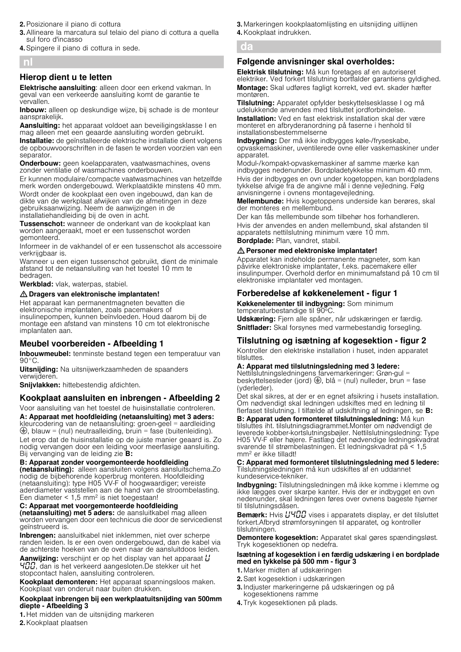- 2.Posizionare il piano di cottura
- 3.Allineare la marcatura sul telaio del piano di cottura a quella sul foro d'incasso
- 4.Spingere il piano di cottura in sede.

# nl

# Hierop dient u te letten

Elektrische aansluiting: alleen door een erkend vakman. In geval van een verkeerde aansluiting komt de garantie te vervallen.

Inbouw: alleen op deskundige wijze, bij schade is de monteur aansprakelijk.

Aansluiting: het apparaat voldoet aan beveiligingsklasse I en mag alleen met een geaarde aansluiting worden gebruikt.

Installatie: de geïnstalleerde elektrische installatie dient volgens de opbouwvoorschriften in de fasen te worden voorzien van een separator.

Onderbouw: geen koelapparaten, vaatwasmachines, ovens zonder ventilatie of wasmachines onderbouwen.

Er kunnen modulaire/compacte vaatwasmachines van hetzelfde merk worden ondergebouwd. Werkplaatdikte minstens 40 mm. Wordt onder de kookplaat een oven ingebouwd, dan kan de dikte van de werkplaat afwijken van de afmetingen in deze gebruiksaanwijzing. Neem de aanwijzingen in de installatiehandleiding bij de oven in acht.

Tussenschot: wanneer de onderkant van de kookplaat kan worden aangeraakt, moet er een tussenschot worden gemonteerd.

Informeer in de vakhandel of er een tussenschot als accessoire verkrijgbaar is.

Wanneer u een eigen tussenschot gebruikt, dient de minimale afstand tot de netaansluiting van het toestel 10 mm te bedragen.

Werkblad: vlak, waterpas, stabiel.

## $\triangle$  Dragers van elektronische implantaten!

Het apparaat kan permanentmagneten bevatten die elektronische implantaten, zoals pacemakers of insulinepompen, kunnen beïnvloeden. Houd daarom bij de montage een afstand van minstens 10 cm tot elektronische implantaten aan.

# Meubel voorbereiden - Afbeelding 1

Inbouwmeubel: tenminste bestand tegen een temperatuur van 90°C.

Uitsnijding: Na uitsnijwerkzaamheden de spaanders verwijderen.

Snijvlakken: hittebestendig afdichten.

# Kookplaat aansluiten en inbrengen - Afbeelding 2

Voor aansluiting van het toestel de huisinstallatie controleren.

A: Apparaat met hoofdleiding (netaansluiting) met 3 aders: kleurcodering van de netaansluiting: groen-geel = aardleiding  $\bigoplus$ , blauw = (nul) neutraalleiding, bruin = fase (buitenleiding).

Let erop dat de huisinstallatie op de juiste manier geaard is. Zo nodig vervangen door een leiding voor meerfasige aansluiting. Bij vervanging van de leiding zie **B:** 

#### B: Apparaat zonder voorgemonteerde hoofdleiding

(netaansluiting): alleen aansluiten volgens aansluitschema.Zo nodig de bijbehorende koperbrug monteren. Hoofdleiding (netaansluiting): type H05 VV-F of hoogwaardiger; vereiste aderdiameter vaststellen aan de hand van de stroombelasting. Een diameter  $< 1.5$  mm<sup>2</sup> is niet toegestaan!

## C: Apparaat met voorgemonteerde hoofdleiding

(netaansluiting) met 5 aders: de aansluitkabel mag alleen worden vervangen door een technicus die door de servicedienst geïnstrueerd is.

Inbrengen: aansluitkabel niet inklemmen, niet over scherpe randen leiden. Is er een oven ondergebouwd, dan de kabel via de achterste hoeken van de oven naar de aansluitdoos leiden.

**Aanwijzing:** verschijnt er op het display van het apparaat  $\mathcal{L}$ HUU, dan is het verkeerd aangesloten.De stekker uit het stopcontact halen, aansluiting controleren.

Kookplaat demonteren: Het apparaat spanningsloos maken. Kookplaat van onderuit naar buiten drukken.

#### Kookplaat inbrengen bij een werkplaatuitsnijding van 500mm diepte - Afbeelding 3

3. Markeringen kookplaatomlijsting en uitsnijding uitlijnen 4.Kookplaat indrukken.

# da

# Følgende anvisninger skal overholdes:

Elektrisk tilslutning: Må kun foretages af en autoriseret elektriker. Ved forkert tilslutning bortfalder garantiens gyldighed. Montage: Skal udføres fagligt korrekt, ved evt. skader hæfter montøren.

**Tilslutning:** Apparatet opfylder beskyttelsesklasse I og må udelukkende anvendes med tilsluttet jordforbindelse. Installation: Ved en fast elektrisk installation skal der være monteret en afbryderanordning på faserne i henhold til installationsbestemmelserne

Indbygning: Der må ikke indbygges køle-/fryseskabe, opvaskemaskiner, uventilerede ovne eller vaskemaskiner under apparatet.

Modul-/kompakt-opvaskemaskiner af samme mærke kan indbygges nedenunder. Bordpladetykkelse minimum 40 mm. Hvis der indbygges en ovn under kogetoppen, kan bordpladens tykkelse afvige fra de angivne mål i denne vejledning. Følg anvisningerne i ovnens montagevejledning.

Mellembunde: Hvis kogetoppens underside kan berøres, skal der monteres en mellembund.

Der kan fås mellembunde som tilbehør hos forhandleren. Hvis der anvendes en anden mellembund, skal afstanden til apparatets nettilslutning minimum være 10 mm.

Bordplade: Plan, vandret, stabil.

#### : Personer med elektroniske implantater!

Apparatet kan indeholde permanente magneter, som kan påvirke elektroniske implantater, f.eks. pacemakere eller insulinpumper. Overhold derfor en minimumafstand på 10 cm til elektroniske implantater ved montagen.

# Forberedelse af køkkenelement - figur 1

Køkkenelementer til indbygning: Som minimum temperaturbestandige til 90ºC.

Udskæring: Fjern alle spåner, når udskæringen er færdig. Snitflader: Skal forsynes med varmebestandig forsegling.

# Tilslutning og isætning af kogesektion figur 2

Kontroller den elektriske installation i huset, inden apparatet tilsluttes.

## A: Apparat med tilslutningsledning med 3 ledere:

Nettilslutningsledningens farvemarkeringer: Grøn-gul = beskyttelsesleder (jord)  $\bigoplus$ , blå = (nul) nulleder, brun = fase (yderleder).

Det skal sikres, at der er en egnet afsikring i husets installation. Om nødvendigt skal ledningen udskiftes med en ledning til flerfaset tilslutning. I tilfælde af udskiftning af ledningen, se B:

B: Apparat uden formonteret tilslutningsledning: Må kun tilsluttes iht. tilslutningsdiagrammet.Monter om nødvendigt de leverede kobber-kortslutningsbøjler. Nettilslutningsledning: Type H05 VV-F eller højere. Fastlæg det nødvendige ledningskvadrat svarende til strømbelastningen. Et ledningskvadrat på < 1,5 mm2 er ikke tilladt!

C: Apparat med formonteret tilslutningsledning med 5 ledere: Tilslutningsledningen må kun udskiftes af en uddannet kundeservice-tekniker.

Indbygning: Tilslutningsledningen må ikke komme i klemme og ikke lægges over skarpe kanter. Hvis der er indbygget en ovn nedenunder, skal ledningen føres over ovnens bageste hjørner til tilslutningsdåsen.

Bemærk: Hyjs HHCC vises i apparatets display, er det tilsluttet forkert.Afbryd strømforsyningen til apparatet, og kontroller tilslutningen.

Demontere kogesektion: Apparatet skal gøres spændingsløst. Tryk kogesektionen op nedefra.

#### Isætning af kogesektion i en færdig udskæring i en bordplade med en tykkelse på 500 mm - figur 3

- 1. Marker midten af udskæringen
- 2.Sæt kogesektion i udskæringen
- 3. Indjuster markeringerne på udskæringen og på kogesektionens ramme
- 4. Tryk kogesektionen på plads.

1. Het midden van de uitsnijding markeren

2.Kookplaat plaatsen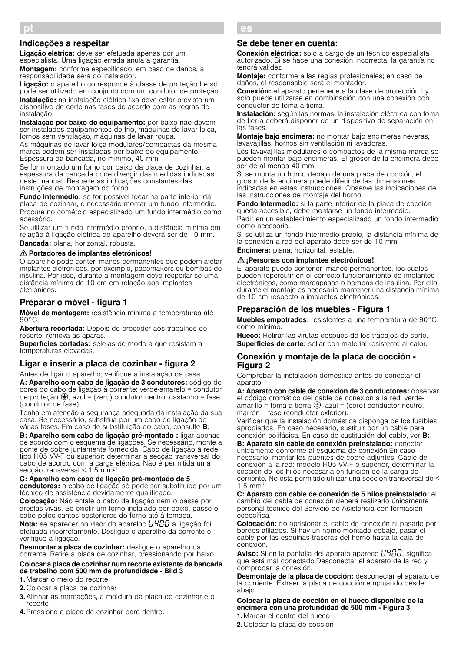## Indicações a respeitar

Ligação elétrica: deve ser efetuada apenas por um especialista. Uma ligação errada anula a garantia.

Montagem: conforme especificado, em caso de danos, a responsabilidade será do instalador.

Ligação: o aparelho corresponde à classe de proteção I e só pode ser utilizado em conjunto com um condutor de proteção. Instalação: na instalação elétrica fixa deve estar previsto um dispositivo de corte nas fases de acordo com as regras de instalação.

Instalação por baixo do equipamento: por baixo não devem ser instalados equipamentos de frio, máquinas de lavar loiça, fornos sem ventilação, máquinas de lavar roupa.

As máquinas de lavar loiça modulares/compactas da mesma marca podem ser instaladas por baixo do equipamento. Espessura da bancada, no mínimo, 40 mm.

Se for montado um forno por baixo da placa de cozinhar, a espessura da bancada pode divergir das medidas indicadas neste manual. Respeite as indicações constantes das instruções de montagem do forno.

Fundo intermédio: se for possível tocar na parte inferior da placa de cozinhar, é necessário montar um fundo intermédio. Procure no comércio especializado um fundo intermédio como acessório.

Se utilizar um fundo intermédio próprio, a distância mínima em relação à ligação elétrica do aparelho deverá ser de 10 mm. Bancada: plana, horizontal, robusta.

#### : Portadores de implantes eletrónicos!

O aparelho pode conter ímanes permanentes que podem afetar implantes eletrónicos, por exemplo, pacemakers ou bombas de insulina. Por isso, durante a montagem deve respeitar-se uma distância mínima de 10 cm em relação aos implantes eletrónicos.

# Preparar o móvel - figura 1

Móvel de montagem: resistência mínima a temperaturas até  $90^{\circ}$ C.

Abertura recortada: Depois de proceder aos trabalhos de recorte, remova as aparas.

Superfícies cortadas: sele-as de modo a que resistam a temperaturas elevadas.

#### Ligar e inserir a placa de cozinhar - figura 2

Antes de ligar o aparelho, verifique a instalação da casa.

A: Aparelho com cabo de ligação de 3 condutores: código de cores do cabo de ligação à corrente: verde-amarelo = condutor de proteção  $\bigoplus$ , azul = (zero) condutor neutro, castanho = fase (condutor de fase).

Tenha em atenção a segurança adequada da instalação da sua casa. Se necessário, substitua por um cabo de ligação de várias fases. Em caso de substituição do cabo, consulte B:

B: Aparelho sem cabo de ligação pré-montado : ligar apenas de acordo com o esquema de ligações. Se necessário, monte a ponte de cobre juntamente fornecida. Cabo de ligação à rede: tipo H05 VV-F ou superior; determinar a secção transversal do cabo de acordo com a carga elétrica. Não é permitida uma secção transversal < 1,5 mm2!

# C: Aparelho com cabo de ligação pré-montado de 5

condutores: o cabo de ligação só pode ser substituído por um técnico de assistência devidamente qualificado.

Colocação: Não entale o cabo de ligação nem o passe por arestas vivas. Se existir um forno instalado por baixo, passe o cabo pelos cantos posteriores do forno até à tomada.

Nota: se aparecer no visor do aparelho  $\mu$ H $\pi$ a ligação foi efetuada incorretamente. Desligue o aparelho da corrente e verifique a ligação.

Desmontar a placa de cozinhar: desligue o aparelho da corrente. Retire a placa de cozinhar, pressionando por baixo.

#### Colocar a placa de cozinhar num recorte existente da bancada de trabalho com 500 mm de profundidade - Bild 3

1. Marcar o meio do recorte

- 2. Colocar a placa de cozinhar
- 3.Alinhar as marcações, a moldura da placa de cozinhar e o recorte
- 4.Pressione a placa de cozinhar para dentro.

# es

#### Se debe tener en cuenta:

Conexión eléctrica: solo a cargo de un técnico especialista autorizado. Si se hace una conexión incorrecta, la garantía no tendrá validez.

Montaje: conforme a las reglas profesionales; en caso de daños, el responsable será el montador.

Conexión: el aparato pertenece a la clase de protección I y solo puede utilizarse en combinación con una conexión con conductor de toma a tierra.

Instalación: según las normas, la instalación eléctrica con toma de tierra deberá disponer de un dispositivo de separación en las fases.

Montaje bajo encimera: no montar bajo encimeras neveras, lavavajillas, hornos sin ventilación ni lavadoras.

Los lavavajillas modulares o compactos de la misma marca se pueden montar bajo encimeras. El grosor de la encimera debe ser de al menos 40 mm.

Si se monta un horno debajo de una placa de cocción, el grosor de la encimera puede diferir de las dimensiones indicadas en estas instrucciones. Observe las indicaciones de las instrucciones de montaje del horno.

Fondo intermedio: si la parte inferior de la placa de cocción queda accesible, debe montarse un fondo intermedio.

Pedir en un establecimiento especializado un fondo intermedio como accesorio.

Si se utiliza un fondo intermedio propio, la distancia mínima de la conexión a red del aparato debe ser de 10 mm.

Encimera: plana, horizontal, estable.

#### $\triangle$ : Personas con implantes electrónicos!

El aparato puede contener imanes permanentes, los cuales pueden repercutir en el correcto funcionamiento de implantes electrónicos, como marcapasos o bombas de insulina. Por ello, durante el montaje es necesario mantener una distancia mínima de 10 cm respecto a implantes electrónicos.

#### Preparación de los muebles - Figura 1

Muebles empotrados: resistentes a una temperatura de 90°C como mínimo.

Hueco: Retirar las virutas después de los trabajos de corte. Superficies de corte: sellar con material resistente al calor.

#### Conexión y montaje de la placa de cocción - Figura 2

Comprobar la instalación doméstica antes de conectar el aparato.

A: Aparato con cable de conexión de 3 conductores: observar el código cromático del cable de conexión a la red: verdeamarillo = toma a tierra  $\bigoplus$ , azul = (cero) conductor neutro, marrón = fase (conductor exterior).

Verificar que la instalación doméstica disponga de los fusibles apropiados. En caso necesario, sustituir por un cable para conexión polifásica. En caso de sustitución del cable, ver B:

B: Aparato sin cable de conexión preinstalado: conectar únicamente conforme al esquema de conexión.En caso necesario, montar los puentes de cobre adjuntos. Cable de conexión a la red: modelo H05 VV-F o superior, determinar la sección de los hilos necesaria en función de la carga de corriente. No está permitido utilizar una sección transversal de < 1,5 mm2.

C: Aparato con cable de conexión de 5 hilos preinstalado: el cambio del cable de conexión deberá realizarlo únicamente personal técnico del Servicio de Asistencia con formación específica.

Colocación: no aprisionar el cable de conexión ni pasarlo por bordes afilados. Si hay un horno montado debajo, pasar el cable por las esquinas traseras del horno hasta la caja de conexión.

**Aviso:** Si en la pantalla del aparato aparece  $\mu$ 400, significa que está mal conectado.Desconectar el aparato de la red y comprobar la conexión.

Desmontaje de la placa de cocción: desconectar el aparato de la corriente. Extraer la placa de cocción empujando desde abajo.

#### Colocar la placa de cocción en el hueco disponible de la encimera con una profundidad de 500 mm - Figura 3

1. Marcar el centro del hueco

2. Colocar la placa de cocción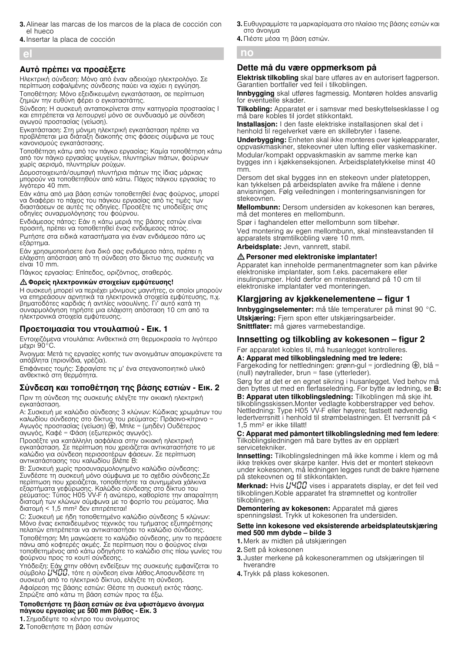- 3.Alinear las marcas de los marcos de la placa de cocción con el hueco
- 4. Insertar la placa de cocción

el

## Αυτό πρέπει να προσέξετε

Ηλεκτρική σύνδεση: Μόνο από έναν αδειούχο ηλεκτρολόγο. Σε περίπτωση εσφαλμένης σύνδεσης παύει να ισχύει η εγγύηση. Τοποθέτηση: Μόνο εξειδικευμένη εγκατάσταση, σε περίπτωση ζημιών την ευθύνη φέρει ο εγκαταστάτης.

Sύνδεση: Η συσκευή ανταποκρίνεται στην κατηγορία προστασίας I και επιτρέπεται να λειτουργεί μόνο σε συνδυασμό με σύνδεση αγωγού προστασίας (γείωση).

Εγκατάσταση: Στη μόνιμη ηλεκτρική εγκατάσταση πρέπει να προβλέπεται μια διάταξη διακοπής στις φάσεις σύμφωνα με τους κανονισμούς εγκατάστασης.

Τοποθέτηση κάτω από τον πάγκο εργασίας: Καμία τοποθέτηση κάτω από τον πάγκο εργασίας ψυγείων, πλυντηρίων πιάτων, φούρνων χωρίς αερισμό, πλυντηρίων ρούχων.

Δομοστοιχειωτά/συμπαγή πλυντήρια πιάτων της ίδιας μάρκας μπορούν να τοποθετηθούν από κάτω. Πάχος πάγκου εργασίας το λιγότερο 40 mm.

Εάν κάτω από μια βάση εστιών τοποθετηθεί ένας φούρνος, μπορεί να διαφέρει το πάχος του πάγκου εργασίας από τις τιμές των διαστάσεων σε αυτές τις οδηγίες. Προσέξτε τις υποδείξεις στις οδηγίες συναρμολόγησης του φούρνου.

Ενδιάμεσος πάτος: Εάν η κάτω μεριά της βάσης εστιών είναι προσιτή, πρέπει να τοποθετηθεί ένας ενδιάμεσος πάτος. Ρωτήστε στα ειδικά καταστήματα για έναν ενδιάμεσο πάτο ως εξάρτημα.

Εάν χρησιμοποιήσετε ένα δικό σας ενδιάμεσο πάτο, πρέπει η ελάχιστη απόσταση από τη σύνδεση στο δίκτυο της συσκευής να είναι 10 mm.

Πάγκος εργασίας: Επίπεδος, οριζόντιος, σταθερός.

: Φορείς ηλεκτρονικών στοιχείων εμφύτευσης!

Η συσκευή μπορεί να περιέχει μόνιμους μαγνήτες, οι οποίοι μπορούν να επηρεάσουν αρνητικά τα ηλεκτρονικά στοιχεία εμφύτευσης, π.χ. βηματοδότες καρδιάς ή αντλίες ινσουλίνης. Γι' αυτό κατά τη συναρμολόγηση τηρήστε μια ελάχιστη απόσταση 10 cm από τα ηλεκτρονικά στοιχεία εμφύτευσης.

## Προετοιμασία του ντουλαπιού - Εικ. 1

Εντοιχιζόμενα ντουλάπια: Ανθεκτικά στη θερμοκρασία το λιγότερο μέχρι 90°C.

Άνοιγμα: Μετά τις εργασίες κοπής των ανοιγμάτων απομακρύνετε τα απόβλητα (πριονίδια, γρέζια).

Επιφάνειες τομής: Σφραγίστε τις μ' ένα στεγανοποιητικό υλικό ανθεκτικό στη θερμότητα.

# Σύνδεση και τοποθέτηση της βάσης εστιών - Εικ. 2

Πριν τη σύνδεση της συσκευής ελέγξτε την οικιακή ηλεκτρική εγκατάσταση.

A: Συσκευή με καλώδιο σύνδεσης 3 κλώνων: Κώδικας χρωμάτων του καλωδίου σύνδεσης στο δίκτυο του ρεύματος: Πράσινο-κίτρινο = Αγωγός προστασίας (γείωση) ⊜, Μπλε = (μηδέν) Ουδέτερος αγωγός, Καφέ = Φάση (εξωτερικός αγωγός).

Προσέξτε για κατάλληλη ασφάλεια στην οικιακή ηλεκτρική εγκατάσταση. Σε περίπτωση που χρειάζεται αντικαταστήστε το με καλώδιο για σύνδεση περισσοτέρων φάσεων. Σε περίπτωση αντικατάστασης του καλωδίου βλέπε B:

B: Συσκευή χωρίς προσυναρμολογημένο καλώδιο σύνδεσης: Συνδέστε τη συσκευή μόνο σύμφωνα με το σχέδιο σύνδεσης.Σε περίπτωση που χρειάζεται, τοποθετήστε τα συνημμένα χάλκινα εξαρτήματα γεφύρωσης. Καλώδιο σύνδεσης στο δίκτυο του ρεύματος: Τύπος H05 VV-F ή ανώτερο, καθορίστε την απαραίτητη διατομή των κλώνων σύμφωνα με το φορτίο του ρεύματος. Μια διατομή < 1,5 mm2 δεν επιτρέπεται!

C: Συσκευή με ήδη τοποθετημένο καλώδιο σύνδεσης 5 κλώνων: Μόνο ένας εκπαιδευμένος τεχνικός του τμήματος εξυπηρέτησης πελατών επιτρέπεται να αντικαταστήσει το καλώδιο σύνδεσης.

Τοποθέτηση: Μη μαγκώσετε το καλώδιο σύνδεσης, μην το περάσετε πάνω από κοφτερές ακμές. Σε περίπτωση που ο φούρνος είναι τοποθετημένος από κάτω οδηγήστε το καλώδιο στις πίσω γωνίες του φούρνου προς το κουτί σύνδεσης.

Υπόδειξη: Εάν στην οθόνη ενδείξεων της συσκευής εμφανίζεται το σύμβολο  $\mu$ 4 $\mu$ , τότε η σύνδεση είναι λάθος.Αποσυνδέστε τη συσκευή από το ηλεκτρικό δίκτυο, ελέγξτε τη σύνδεση. Αφαίρεση της βάσης εστιών: Θέστε τη συσκευή εκτός τάσης.

Σπρώξτε από κάτω τη βάση εστιών προς τα έξω.

#### Τοποθετήστε τη βάση εστιών σε ένα υφιστάμενο άνοιγμα πάγκου εργασίας με 500 mm βάθος - Εικ. 3

1. Σημαδέψτε το κέντρο του ανοίγματος

2. Τοποθετήστε τη βάση εστιών

3. Ευθυγραμμίστε τα μαρκαρίσματα στο πλαίσιο της βάσης εστιών και στο άνοιγμα

4. Πιέστε μέσα τη βάση εστιών.

## no

# Dette må du være oppmerksom på

Elektrisk tilkobling skal bare utføres av en autorisert fagperson. Garantien bortfaller ved feil i tilkoblingen.

Innbygging skal utføres fagmessig. Montøren holdes ansvarlig for eventuelle skader.

Tilkobling: Apparatet er i samsvar med beskyttelsesklasse I og må bare kobles til jordet stikkontakt.

Installasion: I den faste elektriske installasionen skal det i henhold til regelverket være en skillebryter i fasene.

Underbygging: Enheten skal ikke monteres over kjøleapparater, oppvaskmaskiner, stekeovner uten lufting eller vaskemaskiner.

Modular/kompakt oppvaskmaskin av samme merke kan bygges inn i kjøkkenseksjonen. Arbeidsplatetykkelse minst 40 mm.

Dersom det skal bygges inn en stekeovn under platetoppen, kan tykkelsen på arbeidsplaten avvike fra målene i denne anvisningen. Følg veiledningen i monteringsanvisningen for stekeovnen.

Mellombunn: Dersom undersiden av kokesonen kan berøres, må det monteres en mellombunn.

Spør i faghandelen etter mellombunn som tilbehør. Ved montering av egen mellombunn, skal minsteavstanden til apparatets strømtilkobling være 10 mm.

Arbeidsplate: Jevn, vannrett, stabil.

#### : Personer med elektroniske implantater!

Apparatet kan inneholde permanentmagneter som kan påvirke elektroniske implantater, som f.eks. pacemakere eller insulinpumper. Hold derfor en minsteavstand på 10 cm til elektroniske implantater ved monteringen.

# Klargjøring av kjøkkenelementene – figur 1

Innbyggingselementer: må tåle temperaturer på minst 90 °C. Utskjæring: Fjern spon etter utskjæringsarbeider. Snittflater: må gjøres varmebestandige.

## Innsetting og tilkobling av kokesonen – figur 2

Før apparatet kobles til, må husanlegget kontrolleres.

## A: Apparat med tilkoblingsledning med tre ledere:

Fargekoding for nettledningen: grønn-gul = jordledning  $\bigoplus$ , blå = (null) nøytralleder, brun = fase (ytterleder).

Sørg for at det er en egnet sikring i husanlegget. Ved behov må den byttes ut med en flerfaseledning. For bytte av ledning, se B:

B: Apparat uten tilkoblingsledning: Tilkoblingen må skje iht. tilkoblingsskissen.Monter vedlagte kobberstrapper ved behov. Nettledning: Type H05 VV-F eller høyere; fastsett nødvendig ledertverrsnitt i henhold til strømbelastningen. Et tverrsnitt på < 1,5 mm2 er ikke tillatt!

C: Apparat med påmontert tilkoblingsledning med fem ledere: Tilkoblingsledningen må bare byttes av en opplært servicetekniker.

Innsetting: Tilkoblingsledningen må ikke komme i klem og må ikke trekkes over skarpe kanter. Hvis det er montert stekeovn under kokesonen, må ledningen legges rundt de bakre hjørnene på stekeovnen og til stikkontakten.

Merknad: Hvis HHDD vises i apparatets display, er det feil ved tilkoblingen.Koble apparatet fra strømnettet og kontroller tilkoblingen.

Demontering av kokesonen: Apparatet må gjøres spenningsløst. Trykk ut kokesonen fra undersiden.

#### Sette inn kokesone ved eksisterende arbeidsplateutskjæring med 500 mm dybde – bilde 3

- 1. Merk av midten på utskjæringen
- 2.Sett på kokesonen
- 3. Juster merkene på kokesonerammen og utskjæringen til hverandre
- 4. Trykk på plass kokesonen.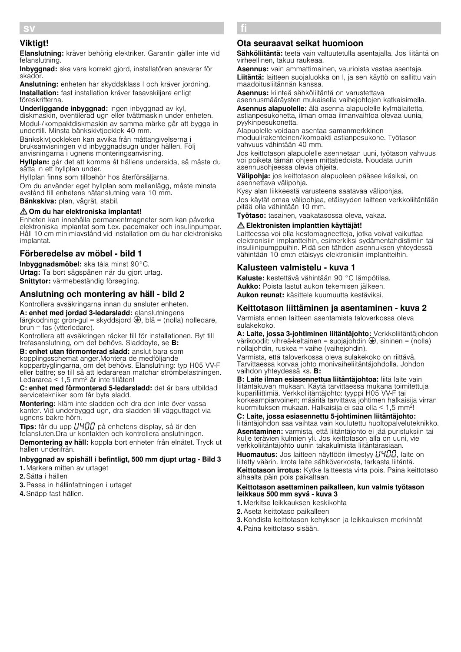# Viktigt!

sv

Elanslutning: kräver behörig elektriker. Garantin gäller inte vid felanslutning.

Inbyggnad: ska vara korrekt gjord, installatören ansvarar för skador.

Anslutning: enheten har skyddsklass I och kräver jordning. Installation: fast installation kräver fasavskiljare enligt föreskrifterna.

Underliggande inbyggnad: ingen inbyggnad av kyl, diskmaskin, oventilerad ugn eller tvättmaskin under enheten. Modul-/kompaktdiskmaskin av samma märke går att bygga in undertill. Minsta bänkskivtjocklek 40 mm.

Bänkskivtjockleken kan avvika från måttangivelserna i bruksanvisningen vid inbyggnadsugn under hällen. Följ anvisningarna i ugnens monteringsanvisning.

Hyllplan: går det att komma åt hällens undersida, så måste du sätta in ett hyllplan under.

Hyllplan finns som tillbehör hos återförsäljarna.

Om du använder eget hyllplan som mellanlägg, måste minsta avstånd till enhetens nätanslutning vara 10 mm.

Bänkskiva: plan, vågrät, stabil.

# : Om du har elektroniska implantat!

Enheten kan innehålla permanentmagneter som kan påverka elektroniska implantat som t.ex. pacemaker och insulinpumpar. Håll 10 cm minimiavstånd vid installation om du har elektroniska implantat.

## Förberedelse av möbel - bild 1

Inbyggnadsmöbel: ska tåla minst 90°C. Urtag: Ta bort sågspånen när du gjort urtag. Snittytor: värmebeständig försegling.

## Anslutning och montering av häll - bild 2

Kontrollera avsäkringarna innan du ansluter enheten.

A: enhet med jordad 3-ledarsladd: elanslutningens färgkodning: grön-gul = skyddsjord  $\bigoplus$ , blå = (nolla) nolledare, brun = fas (ytterledare).

Kontrollera att avsäkringen räcker till för installationen. Byt till trefasanslutning, om det behövs. Sladdbyte, se B:

B: enhet utan förmonterad sladd: anslut bara som kopplingsschemat anger.Montera de medföljande kopparbyglingarna, om det behövs. Elanslutning: typ H05 VV-F eller bättre; se till så att ledararean matchar strömbelastningen. Ledararea < 1,5 mm2 är inte tillåten!

C: enhet med förmonterad 5-ledarsladd: det är bara utbildad servicetekniker som får byta sladd.

Montering: kläm inte sladden och dra den inte över vassa kanter. Vid underbyggd ugn, dra sladden till vägguttaget via ugnens bakre hörn.

Tips: får du upp  $L^1$ <sup>1</sup>  $L^2$  på enhetens display, så är den felansluten.Dra ur kontakten och kontrollera anslutningen. Demontering av häll: koppla bort enheten från elnätet. Tryck ut hällen underifrån.

Inbyggnad av spishäll i befintligt, 500 mm djupt urtag - Bild 3 1. Markera mitten av urtaget

2.Sätta i hällen

- 3.Passa in hällinfattningen i urtaget
- 4.Snäpp fast hällen.

# fi

## Ota seuraavat seikat huomioon

Sähköliitäntä: teetä vain valtuutetulla asentajalla. Jos liitäntä on virheellinen, takuu raukeaa.

Asennus: vain ammattimainen, vaurioista vastaa asentaja. Liitäntä: laitteen suojaluokka on I, ja sen käyttö on sallittu vain maadoitusliitännän kanssa.

Asennus: kiinteä sähköliitäntä on varustettava asennusmääräysten mukaisella vaihejohtojen katkaisimella.

Asennus alapuolelle: älä asenna alapuolelle kylmälaitetta, astianpesukonetta, ilman omaa ilmanvaihtoa olevaa uunia, pyykinpesukonetta.

Alapuolelle voidaan asentaa samanmerkkinen moduulirakenteinen/kompakti astianpesukone. Työtason vahvuus vähintään 40 mm.

Jos keittotason alapuolelle asennetaan uuni, työtason vahvuus voi poiketa tämän ohjeen mittatiedoista. Noudata uunin asennusohjeessa olevia ohjeita.

Välipohja: jos keittotason alapuoleen pääsee käsiksi, on asennettava välipohja.

Kysy alan liikkeestä varusteena saatavaa välipohjaa. Jos käytät omaa välipohjaa, etäisyyden laitteen verkkoliitäntään pitää olla vähintään 10 mm.

Työtaso: tasainen, vaakatasossa oleva, vakaa.

#### : Elektronisten implanttien käyttäjät!

Laitteessa voi olla kestomagneetteja, jotka voivat vaikuttaa elektronisiin implantteihin, esimerkiksi sydämentahdistimiin tai insuliinipumppuihin. Pidä sen tähden asennuksen yhteydessä vähintään 10 cm:n etäisyys elektronisiin implantteihin.

## Kalusteen valmistelu - kuva 1

Kaluste: kestettävä vähintään 90 °C lämpötilaa. Aukko: Poista lastut aukon tekemisen jälkeen. Aukon reunat: käsittele kuumuutta kestäviksi.

# Keittotason liittäminen ja asentaminen - kuva 2

Varmista ennen laitteen asentamista taloverkossa oleva sulakekoko.

A: Laite, jossa 3-johtiminen liitäntäjohto: Verkkoliitäntäjohdon värikoodit: vihreä-keltainen = suojajohdin  $\bigoplus$ , sininen = (nolla) nollajohdin, ruskea = vaihe (vaihejohdin). Varmista, että taloverkossa oleva sulakekoko on riittävä. Tarvittaessa korvaa johto monivaiheliitäntäjohdolla. Johdon

vaihdon yhteydessä ks. B: B: Laite ilman esiasennettua liitäntäjohtoa: liitä laite vain liitäntäkuvan mukaan. Käytä tarvittaessa mukana toimitettuja kupariliittimiä. Verkkoliitäntäjohto: tyyppi H05 VV-F tai korkeampiarvoinen; määritä tarvittava johtimen halkaisija virran kuormituksen mukaan. Halkaisija ei saa olla < 1,5 mm2!

## C: Laite, jossa esiasennettu 5-johtiminen liitäntäjohto:

liitäntäjohdon saa vaihtaa vain koulutettu huoltopalveluteknikko. Asentaminen: varmista, että liitäntäjohto ei jää puristuksiin tai kulje terävien kulmien yli. Jos keittotason alla on uuni, vie verkkoliitäntäjohto uunin takakulmista liitäntärasiaan.

Huomautus: Jos laitteen näyttöön ilmestyy //400. laite on liitetty väärin. Irrota laite sähköverkosta, tarkasta liitäntä. Keittotason irrotus: Kytke laitteesta virta pois. Paina keittotaso alhaalta päin pois paikaltaan.

#### Keittotason asettaminen paikalleen, kun valmis työtason leikkaus 500 mm syvä - kuva 3

1. Merkitse leikkauksen keskikohta

- 2.Aseta keittotaso paikalleen
- 3.Kohdista keittotason kehyksen ja leikkauksen merkinnät

4.Paina keittotaso sisään.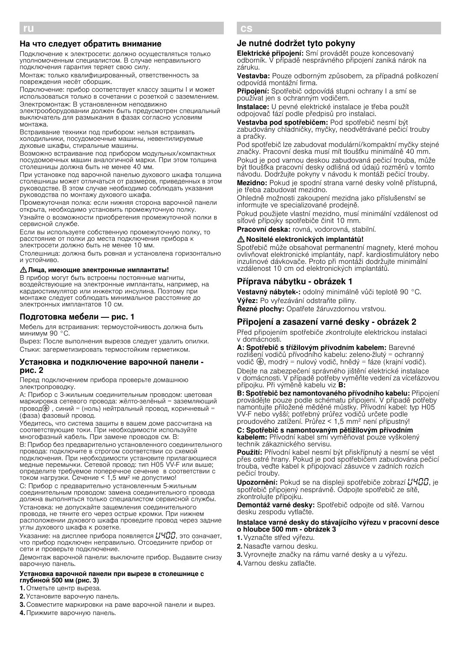# На что следует обратить внимание

Подключение к электросети: должно осуществляться только уполномоченным специалистом. В случае неправильного подключения гарантия теряет свою силу.

Монтаж: только квалифицированный, ответственность за повреждения несёт сборщик.

Подключение: прибор соответствует классу защиты I и может использоваться только в сочетании с розеткой с заземлением. Электромонтаж: В установленном неподвижно

электрооборудовании должен быть предусмотрен специальный выключатель для размыкания в фазах согласно условиям монтажа.

Встраивание техники под прибором: нельзя встраивать холодильники, посудомоечные машины, невентилируемые духовые шкафы, стиральные машины.

Возможно встраивание под прибором модульных/компактных посудомоечных машин аналогичной марки. При этом толщина столешницы должна быть не менее 40 мм.

При установке под варочной панелью духового шкафа толщина столешницы может отличаться от размеров, приведенных в этом руководстве. В этом случае необходимо соблюдать указания руководства по монтажу духового шкафа.

Промежуточная полка: если нижняя сторона варочной панели открыта, необходимо установить промежуточную полку.

Узнайте о возможности приобретения промежуточной полки в сервисной службе.

Если вы используете собственную промежуточную полку, то расстояние от полки до места подключения прибора к электросети должно быть не менее 10 мм.

Столешница: должна быть ровная и установлена горизонтально и устойчиво.

# : Лица, имеющие электронные имплантаты!

В прибор могут быть встроены постоянные магниты,<br>воздействующие на электронные имплантаты, например, на кардиостимулятор или инжектор инсулина. Поэтому при монтаже следует соблюдать минимальное расстояние до электронных имплантатов 10 см.

# Подготовка мебели — рис. 1

Мебель для встраивания: термоустойчивость должна быть минимум 90 °C.

Вырез: После выполнения вырезов следует удалить опилки. Стыки: загерметизировать термостойким герметиком.

#### Установка и подключение варочной панели рис. 2

Перед подключением прибора проверьте домашнюю электропроводку.

A: Прибор с 3-жильным соединительным проводом: цветовая маркировка сетевого провода: жёлто-зелёный = заземляющий провод $\bigoplus$ , синий = (ноль) нейтральный провод, коричневый (фаза) фазовый провод.

Убедитесь, что система защиты в вашем доме рассчитана на соответствующие токи. При необходимости используйте многофазный кабель. При замене проводов см. B:

B: Прибор без предварительно установленного соединительного провода: подключите в строгом соответствии со схемой подключения. При необходимости установите прилагающиеся медные перемычки. Сетевой провод: тип H05 VV-F или выше; определите требуемое поперечное сечение в соответствии с током нагрузки. Сечение < 1,5 мм<sup>2</sup> не допустимо!

C: Прибор с предварительно установленным 5-жильным соединительным проводом: замена соединительного провода должна выполняться только специалистом сервисной службы. Установка: не допускайте защемления соединительного провода, не тяните его через острые кромки. При нижнем расположении духового шкафа проведите провод через задние углы духового шкафа к розетке.

Указание: на дисплее прибора появляется  $\mu$ ЧОО, это означает, что прибор подключен неправильно. Отсоедините прибор от сети и проверьте подключение.

Демонтаж варочной панели: выключите прибор. Выдавите снизу варочную панель.

## Установка варочной панели при вырезе в столешнице с глубиной 500 мм (рис. 3)

1. Отметьте центр выреза.

- 2. Установите варочную панель.
- 3. Совместите маркировки на раме варочной панели и вырез.
- 4. Прижмите варочную панель.

## cs and the contract

## Je nutné dodržet tyto pokyny

Elektrické připojení: Smí provádět pouze koncesovaný odborník. V případě nesprávného připojení zaniká nárok na záruku.

Vestavba: Pouze odborným způsobem, za případná poškození odpovídá montážní firma.

Připojení: Spotřebič odpovídá stupni ochrany I a smí se používat jen s ochranným vodičem.

Instalace: U pevné elektrické instalace je třeba použít odpojovač fází podle předpisů pro instalaci.

Vestavba pod spotřebičem: Pod spotřebič nesmí být zabudovány chladničky, myčky, neodvětrávané pečicí trouby a pračky.

Pod spotřebič lze zabudovat modulární/kompaktní myčky stejné značky. Pracovní deska musí mít tloušťku minimálně 40 mm. Pokud je pod varnou deskou zabudovaná pečicí trouba, může být tloušťka pracovní desky odlišná od údajů rozměrů v tomto návodu. Dodržujte pokyny v návodu k montáži pečicí trouby.

Mezidno: Pokud je spodní strana varné desky volně přístupná, je třeba zabudovat mezidno.

Ohledně možnosti zakoupení mezidna jako příslušenství se informujte ve specializované prodejně.

Pokud použijete vlastní mezidno, musí minimální vzdálenost od síťové přípojky spotřebiče činit 10 mm.

Pracovní deska: rovná, vodorovná, stabilní.

## : Nositelé elektronických implantátů!

Spotřebič může obsahovat permanentní magnety, které mohou ovlivňovat elektronické implantáty, např. kardiostimulátory nebo inzulinové dávkovače. Proto při montáži dodržujte minimální vzdálenost 10 cm od elektronických implantátů.

# Příprava nábytku - obrázek 1

Vestavný nábytek-: odolný minimálně vůči teplotě 90 °C. Výřez: Po vyřezávání odstraňte piliny.

Řezné plochy: Opatřete žáruvzdornou vrstvou.

# Připojení a zasazení varné desky - obrázek 2

Před připojením spotřebiče zkontrolujte elektrickou instalaci v domácnosti.

A: Spotřebič s třížilovým přívodním kabelem: Barevné rozlišení vodičů přívodního kabelu: zeleno-žlutý = ochranný vodič  $\bigoplus$ , modrý = nulový vodič, hnědý = fáze (krajní vodič). Dbejte na zabezpečení správného jištění elektrické instalace v domácnosti. V případě potřeby vyměňte vedení za vícefázovou přípojku. Při výměně kabelu viz B:

B: Spotřebič bez namontovaného přívodního kabelu: Připojení provádějte pouze podle schématu připojení. V případě potřeby namontujte přiložené měděné můstky. Přívodní kabel: typ H05 VV-F nebo vyšší; potřebný průřez vodičů určete podle proudového zatížení. Průřez < 1,5 mm2 není přípustný!

C: Spotřebič s namontovaným pětižilovým přívodním kabelem: Přívodní kabel smí vyměňovat pouze vyškolený technik zákaznického servisu.

Použití: Přívodní kabel nesmí být přiskřípnutý a nesmí se vést přes ostré hrany. Pokud je pod spotřebičem zabudována pečicí trouba, veďte kabel k připojovací zásuvce v zadních rozích pečicí trouby.

Upozornění: Pokud se na displeji spotřebiče zobrazí HHHH, je spotřebič připojený nesprávně. Odpojte spotřebič ze sítě, zkontrolujte přípojku.

Demontáž varné desky: Spotřebič odpojte od sítě. Varnou desku zespodu vytlačte.

## Instalace varné desky do stávajícího výřezu v pracovní desce o hloubce 500 mm - obrázek 3

- 1.Vyznačte střed výřezu.
- 2. Nasaďte varnou desku.
- 3.Vyrovnejte značky na rámu varné desky a u výřezu.
- 4.Varnou desku zatlačte.